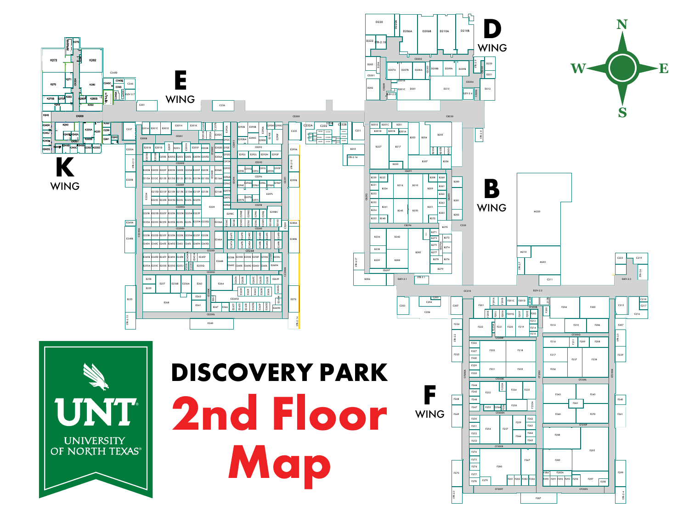